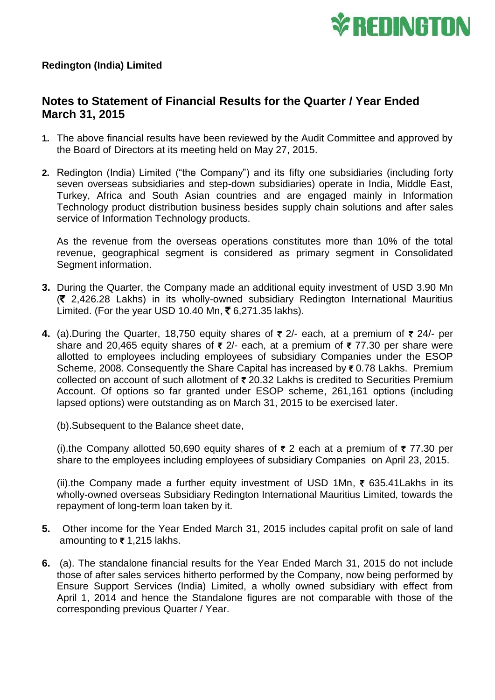

## **Notes to Statement of Financial Results for the Quarter / Year Ended March 31, 2015**

- **1.** The above financial results have been reviewed by the Audit Committee and approved by the Board of Directors at its meeting held on May 27, 2015.
- **2.** Redington (India) Limited ("the Company") and its fifty one subsidiaries (including forty seven overseas subsidiaries and step-down subsidiaries) operate in India, Middle East, Turkey, Africa and South Asian countries and are engaged mainly in Information Technology product distribution business besides supply chain solutions and after sales service of Information Technology products.

As the revenue from the overseas operations constitutes more than 10% of the total revenue, geographical segment is considered as primary segment in Consolidated Segment information.

- **3.** During the Quarter, the Company made an additional equity investment of USD 3.90 Mn  $(3, 2,426.28$  Lakhs) in its wholly-owned subsidiary Redington International Mauritius Limited. (For the year USD 10.40 Mn,  $\bar{\xi}$  6,271.35 lakhs).
- **4.** (a).During the Quarter, 18,750 equity shares of  $\bar{\tau}$  2/- each, at a premium of  $\bar{\tau}$  24/- per share and 20,465 equity shares of  $\bar{\tau}$  2/- each, at a premium of  $\bar{\tau}$  77.30 per share were allotted to employees including employees of subsidiary Companies under the ESOP Scheme, 2008. Consequently the Share Capital has increased by ₹0.78 Lakhs. Premium collected on account of such allotment of  $\bar{\tau}$  20.32 Lakhs is credited to Securities Premium Account. Of options so far granted under ESOP scheme, 261,161 options (including lapsed options) were outstanding as on March 31, 2015 to be exercised later.

(b).Subsequent to the Balance sheet date,

(i).the Company allotted 50,690 equity shares of  $\bar{\tau}$  2 each at a premium of  $\bar{\tau}$  77.30 per share to the employees including employees of subsidiary Companies on April 23, 2015.

(ii).the Company made a further equity investment of USD 1Mn,  $\bar{\tau}$  635.41 Lakhs in its wholly-owned overseas Subsidiary Redington International Mauritius Limited, towards the repayment of long-term loan taken by it.

- **5.** Other income for the Year Ended March 31, 2015 includes capital profit on sale of land amounting to  $\bar{\tau}$  1,215 lakhs.
- **6.** (a). The standalone financial results for the Year Ended March 31, 2015 do not include those of after sales services hitherto performed by the Company, now being performed by Ensure Support Services (India) Limited, a wholly owned subsidiary with effect from April 1, 2014 and hence the Standalone figures are not comparable with those of the corresponding previous Quarter / Year.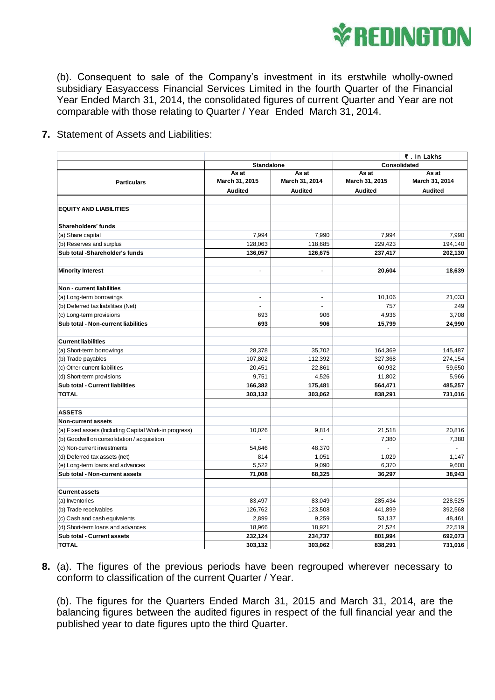

(b). Consequent to sale of the Company's investment in its erstwhile wholly-owned subsidiary Easyaccess Financial Services Limited in the fourth Quarter of the Financial Year Ended March 31, 2014, the consolidated figures of current Quarter and Year are not comparable with those relating to Quarter / Year Ended March 31, 2014.

**7.** Statement of Assets and Liabilities:

|                                                       |                          |                          | ₹. In Lakhs             |                         |
|-------------------------------------------------------|--------------------------|--------------------------|-------------------------|-------------------------|
|                                                       | <b>Standalone</b>        |                          | Consolidated            |                         |
| <b>Particulars</b>                                    | As at<br>March 31, 2015  | As at<br>March 31, 2014  | As at<br>March 31, 2015 | As at<br>March 31, 2014 |
|                                                       | <b>Audited</b>           | <b>Audited</b>           | <b>Audited</b>          | <b>Audited</b>          |
|                                                       |                          |                          |                         |                         |
| <b>EQUITY AND LIABILITIES</b>                         |                          |                          |                         |                         |
|                                                       |                          |                          |                         |                         |
| Shareholders' funds                                   |                          |                          |                         |                         |
| (a) Share capital                                     | 7,994                    | 7,990                    | 7,994                   | 7,990                   |
| (b) Reserves and surplus                              | 128,063                  | 118,685                  | 229,423                 | 194,140                 |
| Sub total -Shareholder's funds                        | 136,057                  | 126,675                  | 237,417                 | 202,130                 |
|                                                       |                          |                          |                         |                         |
| <b>Minority Interest</b>                              | $\overline{\phantom{a}}$ | ÷,                       | 20,604                  | 18,639                  |
| Non - current liabilities                             |                          |                          |                         |                         |
| (a) Long-term borrowings                              | $\frac{1}{2}$            | $\blacksquare$           | 10,106                  | 21,033                  |
| (b) Deferred tax liabilities (Net)                    | $\mathbf{r}$             | $\overline{\phantom{a}}$ | 757                     | 249                     |
| (c) Long-term provisions                              | 693                      | 906                      | 4,936                   | 3,708                   |
| Sub total - Non-current liabilities                   | 693                      | 906                      | 15,799                  | 24,990                  |
|                                                       |                          |                          |                         |                         |
| <b>Current liabilities</b>                            |                          |                          |                         |                         |
| (a) Short-term borrowings                             | 28,378                   | 35,702                   | 164,369                 | 145,487                 |
| (b) Trade payables                                    | 107,802                  | 112,392                  | 327,368                 | 274,154                 |
| (c) Other current liabilities                         | 20,451                   | 22,861                   | 60,932                  | 59,650                  |
| (d) Short-term provisions                             | 9,751                    | 4,526                    | 11,802                  | 5,966                   |
| Sub total - Current liabilities                       | 166,382                  | 175,481                  | 564,471                 | 485,257                 |
| <b>TOTAL</b>                                          | 303,132                  | 303,062                  | 838,291                 | 731,016                 |
|                                                       |                          |                          |                         |                         |
| <b>ASSETS</b>                                         |                          |                          |                         |                         |
| <b>Non-current assets</b>                             |                          |                          |                         |                         |
| (a) Fixed assets (Including Capital Work-in progress) | 10,026                   | 9,814                    | 21,518                  | 20,816                  |
| (b) Goodwill on consolidation / acquisition           |                          |                          | 7,380                   | 7,380                   |
| (c) Non-current investments                           | 54,646                   | 48,370                   | $\overline{a}$          |                         |
| (d) Deferred tax assets (net)                         | 814                      | 1,051                    | 1,029                   | 1,147                   |
| (e) Long-term loans and advances                      | 5,522                    | 9,090                    | 6,370                   | 9,600                   |
| Sub total - Non-current assets                        | 71,008                   | 68,325                   | 36,297                  | 38,943                  |
|                                                       |                          |                          |                         |                         |
| <b>Current assets</b>                                 |                          |                          |                         |                         |
| (a) Inventories                                       | 83,497                   | 83,049                   | 285,434                 | 228,525                 |
| (b) Trade receivables                                 | 126,762                  | 123,508                  | 441,899                 | 392,568                 |
| (c) Cash and cash equivalents                         | 2,899                    | 9,259                    | 53,137                  | 48,461                  |
| (d) Short-term loans and advances                     | 18,966                   | 18,921                   | 21,524                  | 22,519                  |
| Sub total - Current assets                            | 232,124                  | 234,737                  | 801,994                 | 692,073                 |
| <b>TOTAL</b>                                          | 303,132                  | 303,062                  | 838,291                 | 731,016                 |

**8.** (a). The figures of the previous periods have been regrouped wherever necessary to conform to classification of the current Quarter / Year.

(b). The figures for the Quarters Ended March 31, 2015 and March 31, 2014, are the balancing figures between the audited figures in respect of the full financial year and the published year to date figures upto the third Quarter.